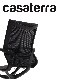# casaterra

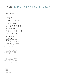## YALTA EXECUTIVE AND GUEST CHAIR

Design by Vaghi R&D

Grazie al suo design distintivo e contemporaneo, al comfort di seduta e alla funzionalità intuitiva, è perfetta per l'ufficio e per l'home office.

- EN A distinctive, contemporary design, comfortable seating and intuitive functionality make it perfect for office areas and home offices as well.
- FR Affichant des lignes modernes et agréables, ce siège se distingue par son grand confort et ses fonctionnalités intuitives. Il s'intègre à merveille dans tous les espaces de bureaux où d'home offices.
- ES Gracias a su diseño diferencial y contemporáneo, su confort y sus funcionalidades intuitivas resulta idónea para la oficina y el home office.



Guarda il video / Watch the video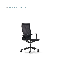#### DIREZIONALI EXECUTIVE YALTA EXECUTIVE AND GUEST CHAIR



Y 2 A 8 L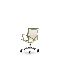

 $Y 1 A 6 X$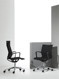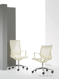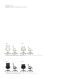PLASTICA NERA, BASE ALLUMINIO NERO BLACK PLASTIC, BLACK ALUMINIUM BASE



Y 2 A 8 L Y 2 A 6 L

PLASTICA BIANCO AVORIO, BASE ALLUMINIO LUCIDO IVORY PLASTIC, POLISHED ALUMINIUM BASE





DIREZIONALI EXECUTIVE YALTA EXECUTIVE AND GUEST CHAIR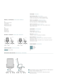#### MODELLI DISPONIBILI AVAILABLE MODELS<br>PARTI IN ALLUMINIO ALUMINIUM PARTS

Plastica bianco avorio Plastique blanc ivoire Plástico blanco marfil

Y 2

Plastica nera Black plastic Plastique noir Plástico negro

### MISURE E VARIANTI SIZES AND VARIANTS in plastica / Plastic / En plastique / En plástico





Y 1 A 6 X - Y 2 A 6 L

#### CERTIFICAZIONI CERTIFICATIONS

EN 1335 Test by CATAS R P

#### DOTAZIONI MECCANICHE MECHANICAL FEATURES

#### FINITURE FINISHES

PARTI METALLICHE METAL PARTS Cromato, verniciato nero / Chromed, black painted / Chrome, verni couleur noir / Cromo, acabado en negro

Lucido, verniciato nero / Polished, black painted / Poli, verni couleur noir / Pulido, acabado en negro Y 1

Ivory plastics **PARTI IN PLASTICA** PLASTIC PARTS Nero o bianco avorio / Black or Ivory / Noir ou Blanc Ivoire / Negro o Blanco marfil

#### ACCESSORI ACCESSORIES

POGGIATESTA HEADREST In rete / Mesh / Maille / De malla

**BRACCIOLI** ARMREST

#### 480 430 430 450 450 BASE GIREVOLE SWIVEL BASE

<sup>480</sup> <sup>430</sup> Alluminio a 5 razze / Aluminium 5 stars / Aluminium 5 branches / Aluminio de 5 radios Poliammide a 5 razze / Polyamide 5 stars / Polyamide 5 branches / Poliamida de 5 radios

#### 680 RIVESTIMENTI COVERINGS





Sedile regolabile in altezza / Height adjustable seat / Siège réglable en hauteur / Asiento regulable en altura

Oscillante armonico / Tilt mechanism / Mécanisme pivotant / Mecanismo oscilante